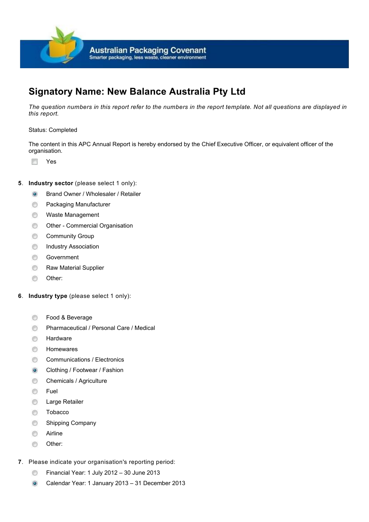

# **Signatory Name: New Balance Australia Pty Ltd**

*The question numbers in this report refer to the numbers in the report template. Not all questions are displayed in this report.*

### Status: Completed

The content in this APC Annual Report is hereby endorsed by the Chief Executive Officer, or equivalent officer of the organisation.

 $f(\theta)$ Yes

# **5.** Industry sector (please select 1 only):

- Brand Owner / Wholesaler / Retailer  $\circ$
- Packaging Manufacturer  $\circledcirc$
- $\circledcirc$ Waste Management
- ⊜ Other - Commercial Organisation
- Community Group ⊜
- ⊜ Industry Association
- ⊜ Government
- ⊜ Raw Material Supplier
- Other:  $\circledcirc$
- **6**. **Industry type** (please select 1 only):
	- Food & Beverage ⊜
	- Pharmaceutical / Personal Care / Medical ⊜
	- Hardware ⊜
	- 0 Homewares
	- Communications / Electronics ⊜
	- Clothing / Footwear / Fashion  $\odot$
	- ⊜ Chemicals / Agriculture
	- Fuel  $\circledcirc$
	- $\circledcirc$ Large Retailer
	- $\odot$ Tobacco
	- $\circledcirc$ Shipping Company
	- ⊜ Airline
	- Other:  $\circledcirc$
- **7**. Please indicate your organisation's reporting period:
	- Financial Year: 1 July 2012 30 June 2013 0
	- $\odot$ Calendar Year: 1 January 2013 – 31 December 2013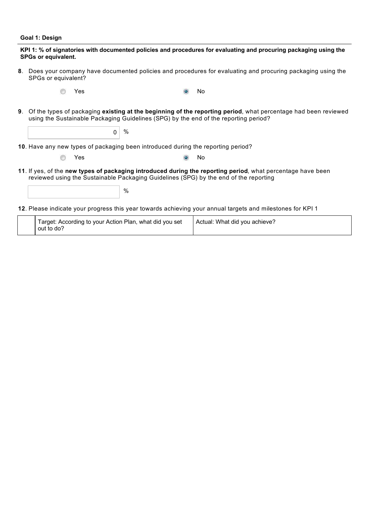### **Goal 1: Design**

| KPI 1: % of signatories with documented policies and procedures for evaluating and procuring packaging using the<br><b>SPGs or equivalent.</b> |                                                                                                                                                                                                      |      |     |                                                                                                                |
|------------------------------------------------------------------------------------------------------------------------------------------------|------------------------------------------------------------------------------------------------------------------------------------------------------------------------------------------------------|------|-----|----------------------------------------------------------------------------------------------------------------|
| 8.                                                                                                                                             | Does your company have documented policies and procedures for evaluating and procuring packaging using the<br>SPGs or equivalent?                                                                    |      |     |                                                                                                                |
|                                                                                                                                                | Yes                                                                                                                                                                                                  |      | No  |                                                                                                                |
| 9.                                                                                                                                             | using the Sustainable Packaging Guidelines (SPG) by the end of the reporting period?                                                                                                                 |      |     | Of the types of packaging existing at the beginning of the reporting period, what percentage had been reviewed |
|                                                                                                                                                | $\Omega$                                                                                                                                                                                             | $\%$ |     |                                                                                                                |
|                                                                                                                                                | 10. Have any new types of packaging been introduced during the reporting period?                                                                                                                     |      |     |                                                                                                                |
|                                                                                                                                                | <b>Yes</b>                                                                                                                                                                                           |      | No. |                                                                                                                |
|                                                                                                                                                | 11. If yes, of the new types of packaging introduced during the reporting period, what percentage have been<br>reviewed using the Sustainable Packaging Guidelines (SPG) by the end of the reporting |      |     |                                                                                                                |
|                                                                                                                                                |                                                                                                                                                                                                      | $\%$ |     |                                                                                                                |

Please indicate your progress this year towards achieving your annual targets and milestones for KPI 1 **12**.

|  | Target: According to your Action Plan, what did you set<br>out to do? | Actual: What did you achieve? |
|--|-----------------------------------------------------------------------|-------------------------------|
|--|-----------------------------------------------------------------------|-------------------------------|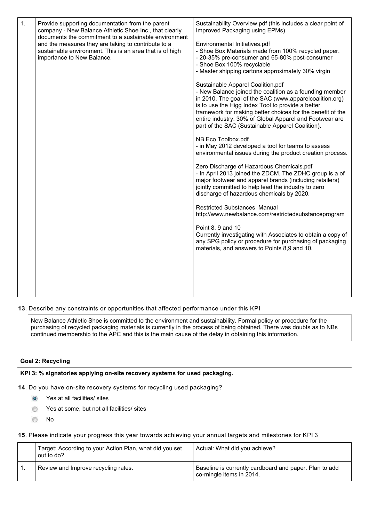| 1. | Provide supporting documentation from the parent<br>company - New Balance Athletic Shoe Inc., that clearly<br>documents the commitment to a sustainable environment<br>and the measures they are taking to contribute to a<br>sustainable environment. This is an area that is of high<br>importance to New Balance. | Sustainability Overview.pdf (this includes a clear point of<br>Improved Packaging using EPMs)<br>Environmental Initiatives.pdf<br>- Shoe Box Materials made from 100% recycled paper.<br>- 20-35% pre-consumer and 65-80% post-consumer<br>- Shoe Box 100% recyclable<br>- Master shipping cartons approximately 30% virgin<br>Sustainable Apparel Coalition.pdf<br>- New Balance joined the coalition as a founding member<br>in 2010. The goal of the SAC (www.apparelcoalition.org)<br>is to use the Higg Index Tool to provide a better<br>framework for making better choices for the benefit of the<br>entire industry. 30% of Global Apparel and Footwear are<br>part of the SAC (Sustainable Apparel Coalition).<br>NB Eco Toolbox.pdf<br>- in May 2012 developed a tool for teams to assess<br>environmental issues during the product creation process.<br>Zero Discharge of Hazardous Chemicals.pdf<br>- In April 2013 joined the ZDCM. The ZDHC group is a of<br>major footwear and apparel brands (including retailers)<br>jointly committed to help lead the industry to zero<br>discharge of hazardous chemicals by 2020.<br><b>Restricted Substances Manual</b><br>http://www.newbalance.com/restrictedsubstanceprogram<br>Point 8, 9 and 10<br>Currently investigating with Associates to obtain a copy of<br>any SPG policy or procedure for purchasing of packaging<br>materials, and answers to Points 8,9 and 10. |
|----|----------------------------------------------------------------------------------------------------------------------------------------------------------------------------------------------------------------------------------------------------------------------------------------------------------------------|----------------------------------------------------------------------------------------------------------------------------------------------------------------------------------------------------------------------------------------------------------------------------------------------------------------------------------------------------------------------------------------------------------------------------------------------------------------------------------------------------------------------------------------------------------------------------------------------------------------------------------------------------------------------------------------------------------------------------------------------------------------------------------------------------------------------------------------------------------------------------------------------------------------------------------------------------------------------------------------------------------------------------------------------------------------------------------------------------------------------------------------------------------------------------------------------------------------------------------------------------------------------------------------------------------------------------------------------------------------------------------------------------------------------------------------|
|    |                                                                                                                                                                                                                                                                                                                      |                                                                                                                                                                                                                                                                                                                                                                                                                                                                                                                                                                                                                                                                                                                                                                                                                                                                                                                                                                                                                                                                                                                                                                                                                                                                                                                                                                                                                                        |

**13**. Describe any constraints or opportunities that affected performance under this KPI

New Balance Athletic Shoe is committed to the environment and sustainability. Formal policy or procedure for the purchasing of recycled packaging materials is currently in the process of being obtained. There was doubts as to NBs continued membership to the APC and this is the main cause of the delay in obtaining this information.

# **Goal 2: Recycling**

# **KPI 3: % signatories applying on-site recovery systems for used packaging.**

**14**. Do you have on-site recovery systems for recycling used packaging?

- Yes at all facilities/ sites  $\odot$
- Yes at some, but not all facilities/ sites  $\circledcirc$
- $\circledcirc$ No

15. Please indicate your progress this year towards achieving your annual targets and milestones for KPI 3

| Target: According to your Action Plan, what did you set<br>out to do? | Actual: What did you achieve?                                                      |
|-----------------------------------------------------------------------|------------------------------------------------------------------------------------|
| Review and Improve recycling rates.                                   | Baseline is currently cardboard and paper. Plan to add<br>co-mingle items in 2014. |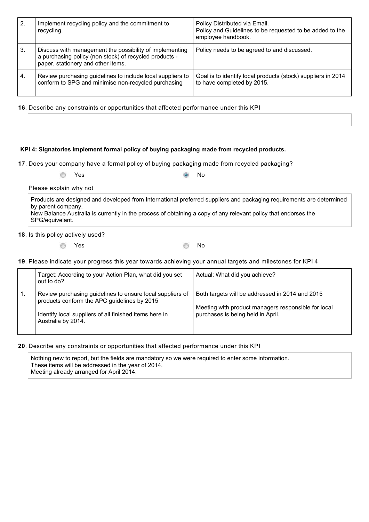| 2. | Implement recycling policy and the commitment to<br>recycling.                                                                                          | Policy Distributed via Email.<br>Policy and Guidelines to be requested to be added to the<br>employee handbook. |
|----|---------------------------------------------------------------------------------------------------------------------------------------------------------|-----------------------------------------------------------------------------------------------------------------|
| 3. | Discuss with management the possibility of implementing<br>a purchasing policy (non stock) of recycled products -<br>paper, stationery and other items. | Policy needs to be agreed to and discussed.                                                                     |
| 4. | Review purchasing guidelines to include local suppliers to<br>conform to SPG and minimise non-recycled purchasing                                       | Goal is to identify local products (stock) suppliers in 2014<br>to have completed by 2015.                      |

**16**. Describe any constraints or opportunities that affected performance under this KPI

# **KPI 4: Signatories implement formal policy of buying packaging made from recycled products.**

**17**. Does your company have a formal policy of buying packaging made from recycled packaging?

| ◎ Yes | $\odot$ No |  |
|-------|------------|--|

Please explain why not

Products are designed and developed from International preferred suppliers and packaging requirements are determined by parent company. New Balance Australia is currently in the process of obtaining a copy of any relevant policy that endorses the SPG/equivelant.

18. Is this policy actively used?

 $\circledcirc$ 

Yes No

Please indicate your progress this year towards achieving your annual targets and milestones for KPI 4 **19**.

|    | Target: According to your Action Plan, what did you set<br>out to do?                                                                                                                    | Actual: What did you achieve?                                                                                                               |
|----|------------------------------------------------------------------------------------------------------------------------------------------------------------------------------------------|---------------------------------------------------------------------------------------------------------------------------------------------|
| 1. | Review purchasing guidelines to ensure local suppliers of<br>products conform the APC guidelines by 2015<br>Identify local suppliers of all finished items here in<br>Australia by 2014. | Both targets will be addressed in 2014 and 2015<br>Meeting with product managers responsible for local<br>purchases is being held in April. |

**20**. Describe any constraints or opportunities that affected performance under this KPI

Nothing new to report, but the fields are mandatory so we were required to enter some information. These items will be addressed in the year of 2014. Meeting already arranged for April 2014.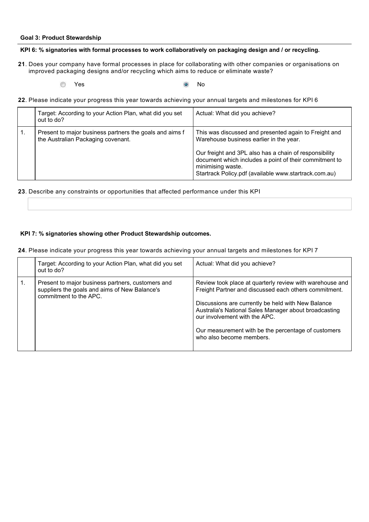#### **Goal 3: Product Stewardship**

#### **KPI 6: % signatories with formal processes to work collaboratively on packaging design and / or recycling.**

- 21. Does your company have formal processes in place for collaborating with other companies or organisations on improved packaging designs and/or recycling which aims to reduce or eliminate waste?
	- $\circledcirc$ **Yes** No
- Please indicate your progress this year towards achieving your annual targets and milestones for KPI 6 **22**.

|    | Target: According to your Action Plan, what did you set<br>out to do?                         | Actual: What did you achieve?                                                                                                                                                                                                                                                                      |
|----|-----------------------------------------------------------------------------------------------|----------------------------------------------------------------------------------------------------------------------------------------------------------------------------------------------------------------------------------------------------------------------------------------------------|
| 1. | Present to major business partners the goals and aims f<br>the Australian Packaging covenant. | This was discussed and presented again to Freight and<br>Warehouse business earlier in the year.<br>Our freight and 3PL also has a chain of responsibility<br>document which includes a point of their commitment to<br>minimising waste.<br>Startrack Policy.pdf (available www.startrack.com.au) |

**23**. Describe any constraints or opportunities that affected performance under this KPI

### **KPI 7: % signatories showing other Product Stewardship outcomes.**

Please indicate your progress this year towards achieving your annual targets and milestones for KPI 7 **24**.

|    | Target: According to your Action Plan, what did you set<br>out to do?                                                        | Actual: What did you achieve?                                                                                                                                                                                                                                                                                                                        |
|----|------------------------------------------------------------------------------------------------------------------------------|------------------------------------------------------------------------------------------------------------------------------------------------------------------------------------------------------------------------------------------------------------------------------------------------------------------------------------------------------|
| 1. | Present to major business partners, customers and<br>suppliers the goals and aims of New Balance's<br>commitment to the APC. | Review took place at quarterly review with warehouse and<br>Freight Partner and discussed each others commitment.<br>Discussions are currently be held with New Balance<br>Australia's National Sales Manager about broadcasting<br>our involvement with the APC.<br>Our measurement with be the percentage of customers<br>who also become members. |